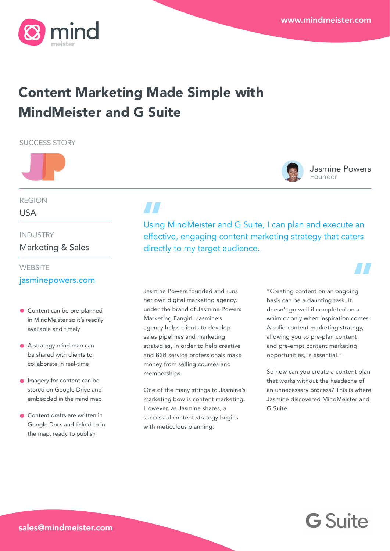Jasmine Powers

Founder



# Content Marketing Made Simple with MindMeister and G Suite

SUCCESS STORY



REGION

USA

INDUSTRY

Marketing & Sales

#### **WEBSITE**

### [jasminepowers.com](https://www.jasminepowers.com)

- **Content can be pre-planned** in MindMeister so it's readily available and timely
- A strategy mind map can be shared with clients to collaborate in real-time
- **Imagery for content can be** stored on Google Drive and embedded in the mind map
- Content drafts are written in Google Docs and linked to in the map, ready to publish

Using MindMeister and G Suite, I can plan and execute an effective, engaging content marketing strategy that caters directly to my target audience.

Jasmine Powers founded and runs her own digital marketing agency, under the brand of Jasmine Powers Marketing Fangirl. Jasmine's agency helps clients to develop sales pipelines and marketing strategies, in order to help creative and B2B service professionals make money from selling courses and memberships.

One of the many strings to Jasmine's marketing bow is content marketing. However, as Jasmine shares, a successful content strategy begins with meticulous planning:

"Creating content on an ongoing basis can be a daunting task. It doesn't go well if completed on a whim or only when inspiration comes. A solid content marketing strategy, allowing you to pre-plan content and pre-empt content marketing opportunities, is essential."

So how can you create a content plan that works without the headache of an unnecessary process? This is where Jasmine discovered MindMeister and G Suite.